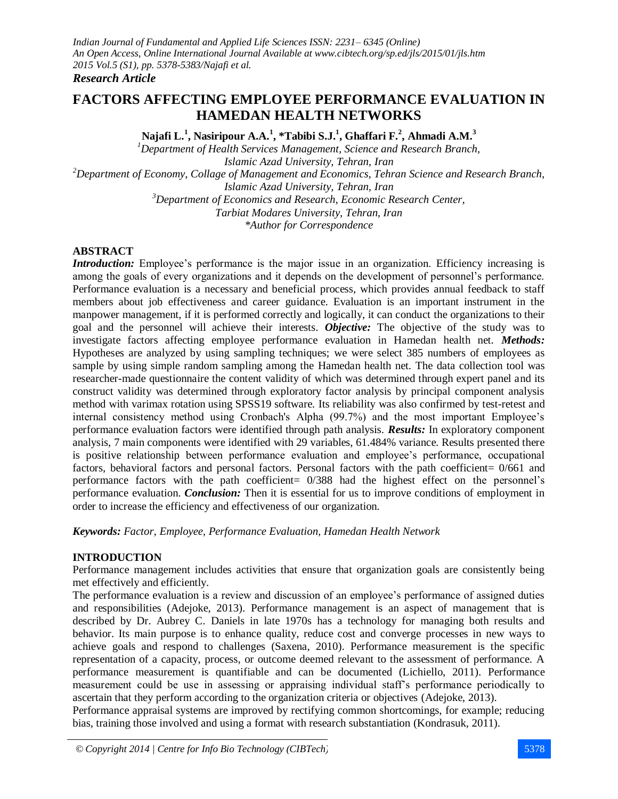### *Research Article*

# **FACTORS AFFECTING EMPLOYEE PERFORMANCE EVALUATION IN HAMEDAN HEALTH NETWORKS**

**Najafi L.<sup>1</sup> , Nasiripour A.A.<sup>1</sup> , \*Tabibi S.J.<sup>1</sup> , Ghaffari F.<sup>2</sup> , Ahmadi A.M.<sup>3</sup>**

*<sup>1</sup>Department of Health Services Management, Science and Research Branch, Islamic Azad University, Tehran, Iran <sup>2</sup>Department of Economy, Collage of Management and Economics, Tehran Science and Research Branch, Islamic Azad University, Tehran, Iran <sup>3</sup>Department of Economics and Research, Economic Research Center, Tarbiat Modares University, Tehran, Iran \*Author for Correspondence*

#### **ABSTRACT**

*Introduction:* Employee's performance is the major issue in an organization. Efficiency increasing is among the goals of every organizations and it depends on the development of personnel's performance. Performance evaluation is a necessary and beneficial process, which provides annual feedback to staff members about job effectiveness and career guidance. Evaluation is an important instrument in the manpower management, if it is performed correctly and logically, it can conduct the organizations to their goal and the personnel will achieve their interests. *Objective:* The objective of the study was to investigate factors affecting employee performance evaluation in Hamedan health net. *Methods:* Hypotheses are analyzed by using sampling techniques; we were select 385 numbers of employees as sample by using simple random sampling among the Hamedan health net. The data collection tool was researcher-made questionnaire the content validity of which was determined through expert panel and its construct validity was determined through exploratory factor analysis by principal component analysis method with varimax rotation using SPSS19 software. Its reliability was also confirmed by test-retest and internal consistency method using Cronbach's Alpha (99.7%) and the most important Employee's performance evaluation factors were identified through path analysis. *Results:* In exploratory component analysis, 7 main components were identified with 29 variables, 61.484% variance. Results presented there is positive relationship between performance evaluation and employee's performance, occupational factors, behavioral factors and personal factors. Personal factors with the path coefficient= 0/661 and performance factors with the path coefficient= 0/388 had the highest effect on the personnel's performance evaluation. *Conclusion:* Then it is essential for us to improve conditions of employment in order to increase the efficiency and effectiveness of our organization.

*Keywords: Factor, Employee, Performance Evaluation, Hamedan Health Network*

## **INTRODUCTION**

Performance management includes activities that ensure that organization goals are consistently being met effectively and efficiently.

The performance evaluation is a review and discussion of an employee's performance of assigned duties and responsibilities (Adejoke, 2013). Performance management is an aspect of management that is described by Dr. Aubrey C. Daniels in late 1970s has a technology for managing both results and behavior. Its main purpose is to enhance quality, reduce cost and converge processes in new ways to achieve goals and respond to challenges (Saxena, 2010). Performance measurement is the specific representation of a capacity, process, or outcome deemed relevant to the assessment of performance. A performance measurement is quantifiable and can be documented (Lichiello, 2011). Performance measurement could be use in assessing or appraising individual staff's performance periodically to ascertain that they perform according to the organization criteria or objectives (Adejoke, 2013).

Performance appraisal systems are improved by rectifying common shortcomings, for example; reducing bias, training those involved and using a format with research substantiation (Kondrasuk, 2011).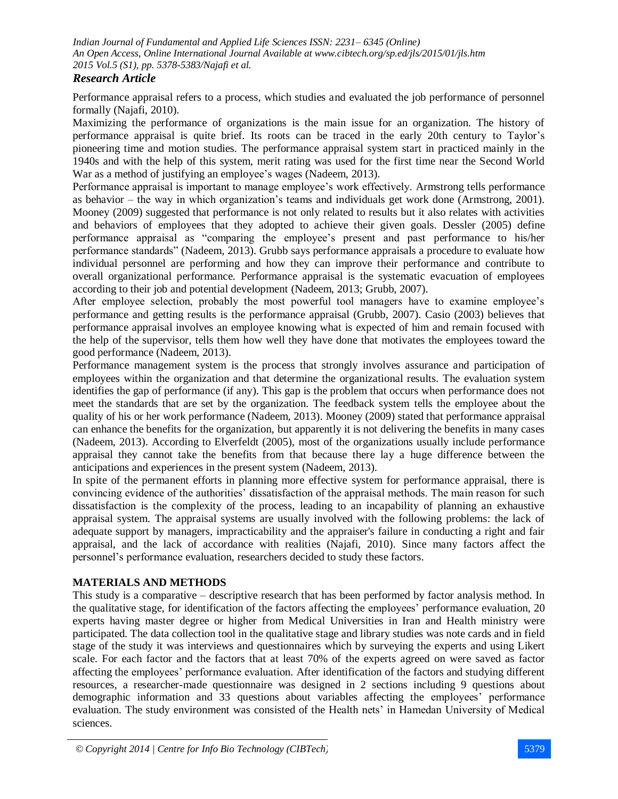## *Research Article*

Performance appraisal refers to a process, which studies and evaluated the job performance of personnel formally (Najafi, 2010).

Maximizing the performance of organizations is the main issue for an organization. The history of performance appraisal is quite brief. Its roots can be traced in the early 20th century to Taylor's pioneering time and motion studies. The performance appraisal system start in practiced mainly in the 1940s and with the help of this system, merit rating was used for the first time near the Second World War as a method of justifying an employee's wages (Nadeem, 2013).

Performance appraisal is important to manage employee's work effectively. Armstrong tells performance as behavior – the way in which organization's teams and individuals get work done (Armstrong, 2001). Mooney (2009) suggested that performance is not only related to results but it also relates with activities and behaviors of employees that they adopted to achieve their given goals. Dessler (2005) define performance appraisal as "comparing the employee's present and past performance to his/her performance standards" (Nadeem, 2013). Grubb says performance appraisals a procedure to evaluate how individual personnel are performing and how they can improve their performance and contribute to overall organizational performance. Performance appraisal is the systematic evacuation of employees according to their job and potential development (Nadeem, 2013; Grubb, 2007).

After employee selection, probably the most powerful tool managers have to examine employee's performance and getting results is the performance appraisal (Grubb, 2007). Casio (2003) believes that performance appraisal involves an employee knowing what is expected of him and remain focused with the help of the supervisor, tells them how well they have done that motivates the employees toward the good performance (Nadeem, 2013).

Performance management system is the process that strongly involves assurance and participation of employees within the organization and that determine the organizational results. The evaluation system identifies the gap of performance (if any). This gap is the problem that occurs when performance does not meet the standards that are set by the organization. The feedback system tells the employee about the quality of his or her work performance (Nadeem, 2013). Mooney (2009) stated that performance appraisal can enhance the benefits for the organization, but apparently it is not delivering the benefits in many cases (Nadeem, 2013). According to Elverfeldt (2005), most of the organizations usually include performance appraisal they cannot take the benefits from that because there lay a huge difference between the anticipations and experiences in the present system (Nadeem, 2013).

In spite of the permanent efforts in planning more effective system for performance appraisal, there is convincing evidence of the authorities' dissatisfaction of the appraisal methods. The main reason for such dissatisfaction is the complexity of the process, leading to an incapability of planning an exhaustive appraisal system. The appraisal systems are usually involved with the following problems: the lack of adequate support by managers, impracticability and the appraiser's failure in conducting a right and fair appraisal, and the lack of accordance with realities (Najafi, 2010). Since many factors affect the personnel's performance evaluation, researchers decided to study these factors.

## **MATERIALS AND METHODS**

This study is a comparative – descriptive research that has been performed by factor analysis method. In the qualitative stage, for identification of the factors affecting the employees' performance evaluation, 20 experts having master degree or higher from Medical Universities in Iran and Health ministry were participated. The data collection tool in the qualitative stage and library studies was note cards and in field stage of the study it was interviews and questionnaires which by surveying the experts and using Likert scale. For each factor and the factors that at least 70% of the experts agreed on were saved as factor affecting the employees' performance evaluation. After identification of the factors and studying different resources, a researcher-made questionnaire was designed in 2 sections including 9 questions about demographic information and 33 questions about variables affecting the employees' performance evaluation. The study environment was consisted of the Health nets' in Hamedan University of Medical sciences.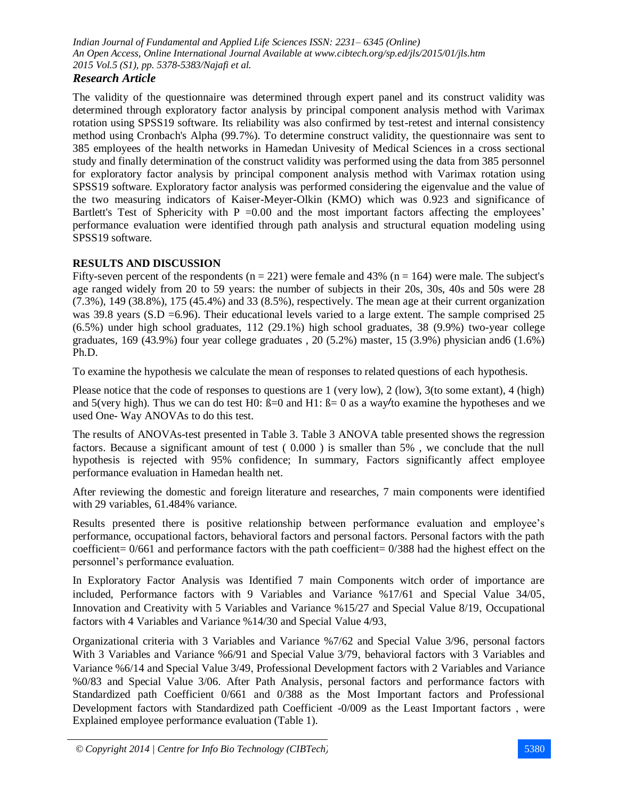# *Research Article*

The validity of the questionnaire was determined through expert panel and its construct validity was determined through exploratory factor analysis by principal component analysis method with Varimax rotation using SPSS19 software. Its reliability was also confirmed by test-retest and internal consistency method using Cronbach's Alpha (99.7%). To determine construct validity, the questionnaire was sent to 385 employees of the health networks in Hamedan Univesity of Medical Sciences in a cross sectional study and finally determination of the construct validity was performed using the data from 385 personnel for exploratory factor analysis by principal component analysis method with Varimax rotation using SPSS19 software. Exploratory factor analysis was performed considering the eigenvalue and the value of the two measuring indicators of Kaiser-Meyer-Olkin (KMO) which was 0.923 and significance of Bartlett's Test of Sphericity with  $P = 0.00$  and the most important factors affecting the employees' performance evaluation were identified through path analysis and structural equation modeling using SPSS19 software.

## **RESULTS AND DISCUSSION**

Fifty-seven percent of the respondents  $(n = 221)$  were female and 43%  $(n = 164)$  were male. The subject's age ranged widely from 20 to 59 years: the number of subjects in their 20s, 30s, 40s and 50s were 28 (7.3%), 149 (38.8%), 175 (45.4%) and 33 (8.5%), respectively. The mean age at their current organization was 39.8 years (S.D = 6.96). Their educational levels varied to a large extent. The sample comprised 25 (6.5%) under high school graduates, 112 (29.1%) high school graduates, 38 (9.9%) two-year college graduates, 169 (43.9%) four year college graduates , 20 (5.2%) master, 15 (3.9%) physician and6 (1.6%) Ph.D.

To examine the hypothesis we calculate the mean of responses to related questions of each hypothesis.

Please notice that the code of responses to questions are 1 (very low), 2 (low), 3(to some extant), 4 (high) and 5(very high). Thus we can do test H0:  $\beta = 0$  and H1:  $\beta = 0$  as a way/to examine the hypotheses and we used One- Way ANOVAs to do this test.

The results of ANOVAs-test presented in Table 3. Table 3 ANOVA table presented shows the regression factors. Because a significant amount of test ( 0.000 ) is smaller than 5% , we conclude that the null hypothesis is rejected with 95% confidence; In summary, Factors significantly affect employee performance evaluation in Hamedan health net.

After reviewing the domestic and foreign literature and researches, 7 main components were identified with 29 variables, 61.484% variance.

Results presented there is positive relationship between performance evaluation and employee's performance, occupational factors, behavioral factors and personal factors. Personal factors with the path coefficient=  $0/661$  and performance factors with the path coefficient=  $0/388$  had the highest effect on the personnel's performance evaluation.

In Exploratory Factor Analysis was Identified 7 main Components witch order of importance are included, Performance factors with 9 Variables and Variance %17/61 and Special Value 34/05 Innovation and Creativity with 5 Variables and Variance %15/27 and Special Value 8/19 Occupational factors with 4 Variables and Variance %14/30 and Special Value 4/93

Organizational criteria with 3 Variables and Variance %7/62 and Special Value 3/96 personal factors With 3 Variables and Variance %6/91 and Special Value 3/79, behavioral factors with 3 Variables and Variance %6/14 and Special Value 3/49 Professional Development factors with 2 Variables and Variance %0/83 and Special Value 3/06. After Path Analysis personal factors and performance factors with Standardized path Coefficient 0/661 and 0/388 as the Most Important factors and Professional Development factors with Standardized path Coefficient -0/009 as the Least Important factors were Explained employee performance evaluation (Table 1).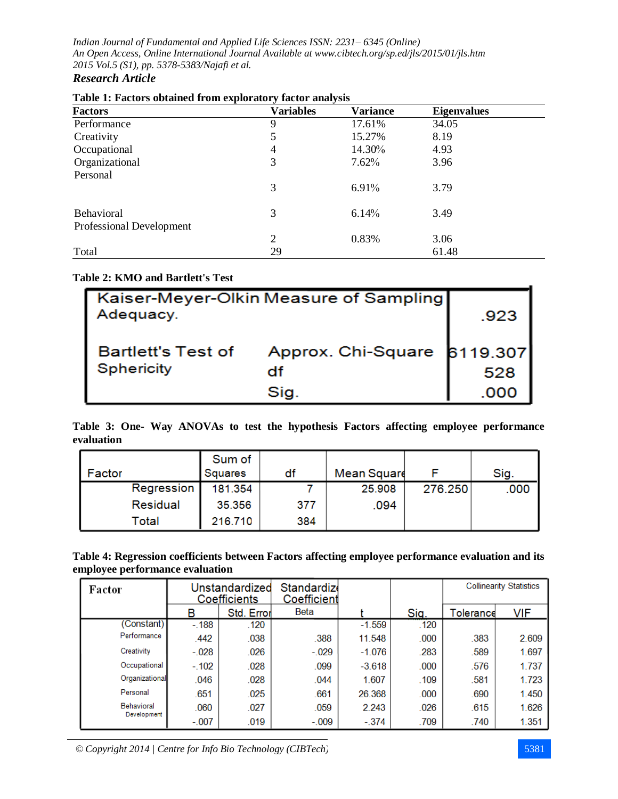# *Research Article*

| Table 1. Pacture obtained from exploratory factor analysis<br><b>Factors</b> | Variables | <b>Variance</b> | <b>Eigenvalues</b> |  |
|------------------------------------------------------------------------------|-----------|-----------------|--------------------|--|
| Performance                                                                  | 9         | 17.61%          | 34.05              |  |
| Creativity                                                                   | 5         | 15.27%          | 8.19               |  |
| Occupational                                                                 | 4         | 14.30%          | 4.93               |  |
| Organizational                                                               | 3         | 7.62%           | 3.96               |  |
| Personal                                                                     |           |                 |                    |  |
|                                                                              | 3         | 6.91%           | 3.79               |  |
| <b>Behavioral</b>                                                            | 3         | 6.14%           | 3.49               |  |
| Professional Development                                                     |           |                 |                    |  |
|                                                                              | 2         | 0.83%           | 3.06               |  |
| Total                                                                        | 29        |                 | 61.48              |  |

# **Table 1: Factors obtained from exploratory factor analysis**

# **Table 2: KMO and Bartlett's Test**

| Kaiser-Meyer-Olkin Measure of Sampling<br>Adequacy. | .923                              |      |
|-----------------------------------------------------|-----------------------------------|------|
| <b>Bartlett's Test of</b><br><b>Sphericity</b>      | Approx. Chi-Square 6119.307<br>df | 528  |
|                                                     | Sig.                              | .000 |

**Table 3: One- Way ANOVAs to test the hypothesis Factors affecting employee performance evaluation**

| Factor     | Sum of<br>Squares | df  | <b>Mean Squard</b> |         | Sig. |
|------------|-------------------|-----|--------------------|---------|------|
| Regression | 181.354           |     | 25.908             | 276.250 | .000 |
| Residual   | 35.356            | 377 | .094               |         |      |
| Total      | 216.710           | 384 |                    |         |      |

| Table 4: Regression coefficients between Factors affecting employee performance evaluation and its |
|----------------------------------------------------------------------------------------------------|
| employee performance evaluation                                                                    |

| Factor                    | Unstandardized<br>Coefficients |            | Standardize<br>Coefficient |          |       |           | <b>Collinearity Statistics</b> |
|---------------------------|--------------------------------|------------|----------------------------|----------|-------|-----------|--------------------------------|
|                           | В                              | Std. Error | Beta                       |          | Sig.  | Tolerance | <b>VIF</b>                     |
| (Constant)                | $-188$                         | .120       |                            | $-1.559$ | .120  |           |                                |
| Performance               | .442                           | .038       | .388                       | 11.548   | .000  | .383      | 2.609                          |
| Creativity                | $-.028$                        | .026       | $-.029$                    | $-1.076$ | .283  | .589      | 1.697                          |
| Occupational              | $-.102$                        | .028       | .099                       | $-3.618$ | .000  | .576      | 1.737                          |
| Organizational            | .046                           | .028       | .044                       | 1.607    | .109  | .581      | 1.723                          |
| Personal                  | .651                           | .025       | .661                       | 26.368   | .000. | .690      | 1.450                          |
| Behavioral<br>Development | .060                           | .027       | .059                       | 2.243    | .026  | .615      | 1.626                          |
|                           | $-.007$                        | .019       | $-.009$                    | $-.374$  | .709  | .740      | 1.351                          |

*© Copyright 2014 | Centre for Info Bio Technology (CIBTech)* 5381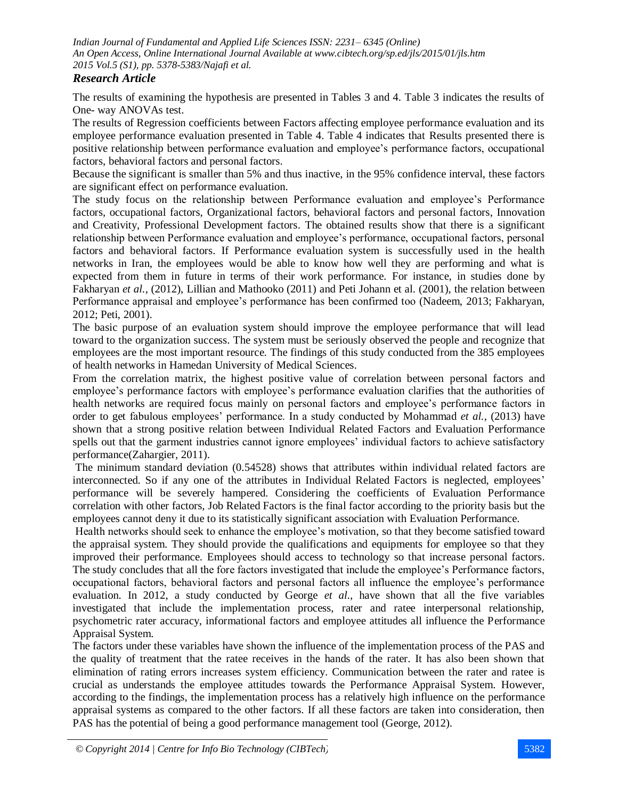## *Research Article*

The results of examining the hypothesis are presented in Tables 3 and 4. Table 3 indicates the results of One- way ANOVAs test.

The results of Regression coefficients between Factors affecting employee performance evaluation and its employee performance evaluation presented in Table 4. Table 4 indicates that Results presented there is positive relationship between performance evaluation and employee's performance factors, occupational factors, behavioral factors and personal factors.

Because the significant is smaller than 5% and thus inactive, in the 95% confidence interval, these factors are significant effect on performance evaluation.

The study focus on the relationship between Performance evaluation and employee's Performance factors, occupational factors, Organizational factors, behavioral factors and personal factors, Innovation and Creativity, Professional Development factors. The obtained results show that there is a significant relationship between Performance evaluation and employee's performance, occupational factors, personal factors and behavioral factors. If Performance evaluation system is successfully used in the health networks in Iran, the employees would be able to know how well they are performing and what is expected from them in future in terms of their work performance. For instance, in studies done by Fakharyan *et al.,* (2012), Lillian and Mathooko (2011) and Peti Johann et al. (2001), the relation between Performance appraisal and employee's performance has been confirmed too (Nadeem, 2013; Fakharyan, 2012; Peti, 2001).

The basic purpose of an evaluation system should improve the employee performance that will lead toward to the organization success. The system must be seriously observed the people and recognize that employees are the most important resource. The findings of this study conducted from the 385 employees of health networks in Hamedan University of Medical Sciences.

From the correlation matrix, the highest positive value of correlation between personal factors and employee's performance factors with employee's performance evaluation clarifies that the authorities of health networks are required focus mainly on personal factors and employee's performance factors in order to get fabulous employees' performance. In a study conducted by Mohammad *et al.,* (2013) have shown that a strong positive relation between Individual Related Factors and Evaluation Performance spells out that the garment industries cannot ignore employees' individual factors to achieve satisfactory performance(Zahargier, 2011).

The minimum standard deviation (0.54528) shows that attributes within individual related factors are interconnected. So if any one of the attributes in Individual Related Factors is neglected, employees' performance will be severely hampered. Considering the coefficients of Evaluation Performance correlation with other factors, Job Related Factors is the final factor according to the priority basis but the employees cannot deny it due to its statistically significant association with Evaluation Performance.

Health networks should seek to enhance the employee's motivation, so that they become satisfied toward the appraisal system. They should provide the qualifications and equipments for employee so that they improved their performance. Employees should access to technology so that increase personal factors. The study concludes that all the fore factors investigated that include the employee's Performance factors, occupational factors, behavioral factors and personal factors all influence the employee's performance evaluation. In 2012, a study conducted by George *et al.,* have shown that all the five variables investigated that include the implementation process, rater and ratee interpersonal relationship, psychometric rater accuracy, informational factors and employee attitudes all influence the Performance Appraisal System.

The factors under these variables have shown the influence of the implementation process of the PAS and the quality of treatment that the ratee receives in the hands of the rater. It has also been shown that elimination of rating errors increases system efficiency. Communication between the rater and ratee is crucial as understands the employee attitudes towards the Performance Appraisal System. However, according to the findings, the implementation process has a relatively high influence on the performance appraisal systems as compared to the other factors. If all these factors are taken into consideration, then PAS has the potential of being a good performance management tool (George, 2012).